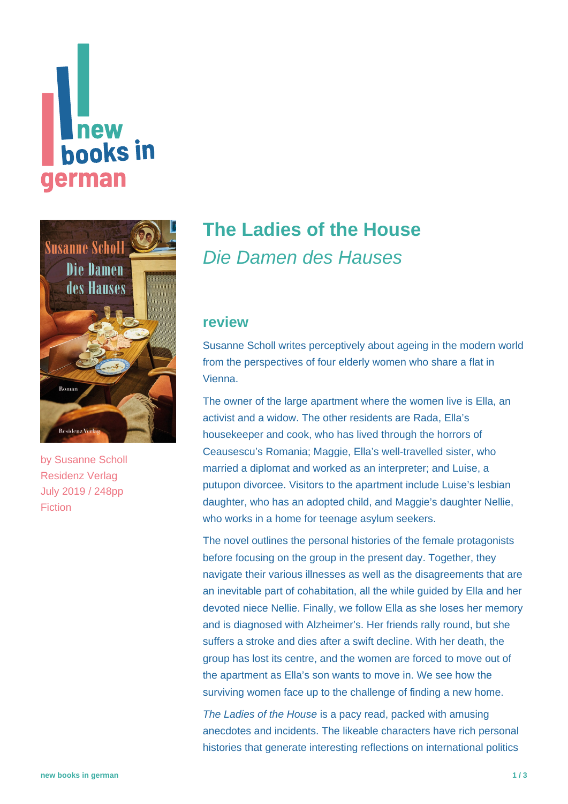# new **hooks in german**



by [Susanne Scholl](https://www.new-books-in-german.com/recommendations/?searchInput=Susanne%20Scholl%20) Residenz Verlag July 2019 / 248pp Fiction

# **[The Ladies of the House](https://www.new-books-in-german.com/recommendations/the-ladies-of-the-house/)** Die Damen des Hauses

#### **review**

Susanne Scholl writes perceptively about ageing in the modern world from the perspectives of four elderly women who share a flat in Vienna.

The owner of the large apartment where the women live is Ella, an activist and a widow. The other residents are Rada, Ella's housekeeper and cook, who has lived through the horrors of Ceausescu's Romania; Maggie, Ella's well-travelled sister, who married a diplomat and worked as an interpreter; and Luise, a putupon divorcee. Visitors to the apartment include Luise's lesbian daughter, who has an adopted child, and Maggie's daughter Nellie, who works in a home for teenage asylum seekers.

The novel outlines the personal histories of the female protagonists before focusing on the group in the present day. Together, they navigate their various illnesses as well as the disagreements that are an inevitable part of cohabitation, all the while guided by Ella and her devoted niece Nellie. Finally, we follow Ella as she loses her memory and is diagnosed with Alzheimer's. Her friends rally round, but she suffers a stroke and dies after a swift decline. With her death, the group has lost its centre, and the women are forced to move out of the apartment as Ella's son wants to move in. We see how the surviving women face up to the challenge of finding a new home.

The Ladies of the House is a pacy read, packed with amusing anecdotes and incidents. The likeable characters have rich personal histories that generate interesting reflections on international politics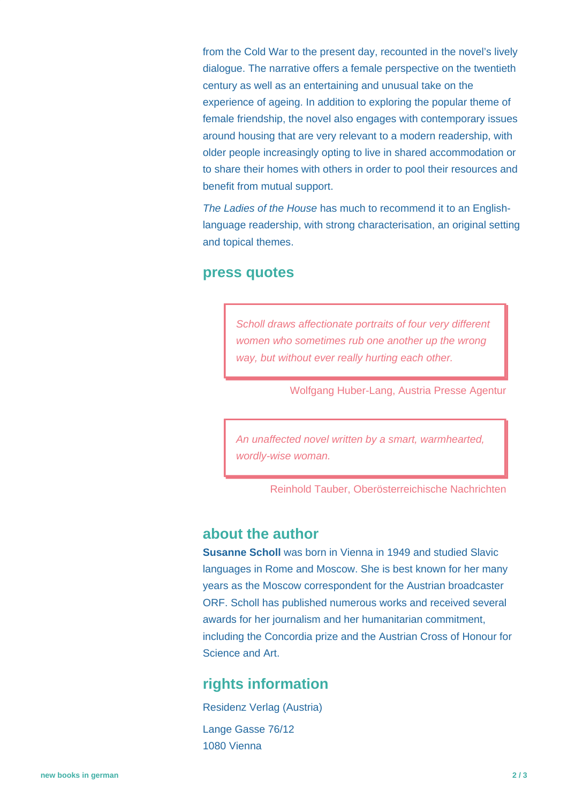from the Cold War to the present day, recounted in the novel's lively dialogue. The narrative offers a female perspective on the twentieth century as well as an entertaining and unusual take on the experience of ageing. In addition to exploring the popular theme of female friendship, the novel also engages with contemporary issues around housing that are very relevant to a modern readership, with older people increasingly opting to live in shared accommodation or to share their homes with others in order to pool their resources and benefit from mutual support.

The Ladies of the House has much to recommend it to an Englishlanguage readership, with strong characterisation, an original setting and topical themes.

#### **press quotes**

Scholl draws affectionate portraits of four very different women who sometimes rub one another up the wrong way, but without ever really hurting each other.

Wolfgang Huber-Lang, Austria Presse Agentur

An unaffected novel written by a smart, warmhearted, wordly-wise woman.

Reinhold Tauber, Oberösterreichische Nachrichten

### **about the author**

**Susanne Scholl** was born in Vienna in 1949 and studied Slavic languages in Rome and Moscow. She is best known for her many years as the Moscow correspondent for the Austrian broadcaster ORF. Scholl has published numerous works and received several awards for her journalism and her humanitarian commitment, including the Concordia prize and the Austrian Cross of Honour for Science and Art.

## **rights information**

Residenz Verlag (Austria) Lange Gasse 76/12 1080 Vienna